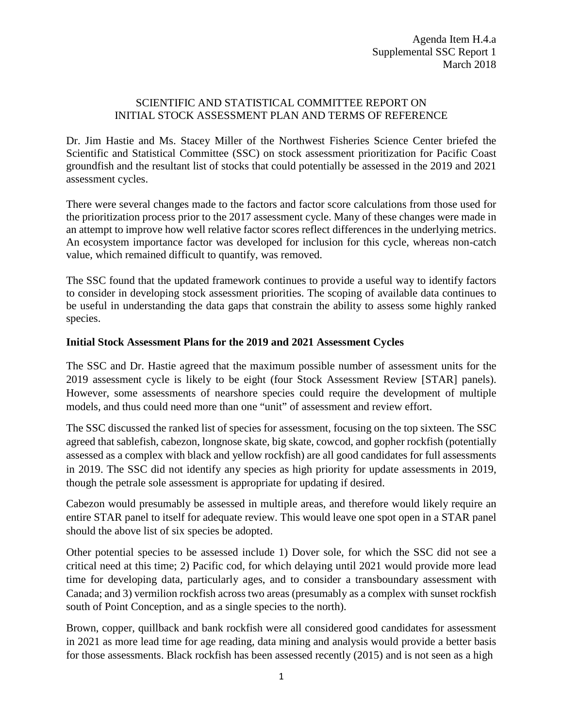## SCIENTIFIC AND STATISTICAL COMMITTEE REPORT ON INITIAL STOCK ASSESSMENT PLAN AND TERMS OF REFERENCE

Dr. Jim Hastie and Ms. Stacey Miller of the Northwest Fisheries Science Center briefed the Scientific and Statistical Committee (SSC) on stock assessment prioritization for Pacific Coast groundfish and the resultant list of stocks that could potentially be assessed in the 2019 and 2021 assessment cycles.

There were several changes made to the factors and factor score calculations from those used for the prioritization process prior to the 2017 assessment cycle. Many of these changes were made in an attempt to improve how well relative factor scores reflect differences in the underlying metrics. An ecosystem importance factor was developed for inclusion for this cycle, whereas non-catch value, which remained difficult to quantify, was removed.

The SSC found that the updated framework continues to provide a useful way to identify factors to consider in developing stock assessment priorities. The scoping of available data continues to be useful in understanding the data gaps that constrain the ability to assess some highly ranked species.

## **Initial Stock Assessment Plans for the 2019 and 2021 Assessment Cycles**

The SSC and Dr. Hastie agreed that the maximum possible number of assessment units for the 2019 assessment cycle is likely to be eight (four Stock Assessment Review [STAR] panels). However, some assessments of nearshore species could require the development of multiple models, and thus could need more than one "unit" of assessment and review effort.

The SSC discussed the ranked list of species for assessment, focusing on the top sixteen. The SSC agreed that sablefish, cabezon, longnose skate, big skate, cowcod, and gopher rockfish (potentially assessed as a complex with black and yellow rockfish) are all good candidates for full assessments in 2019. The SSC did not identify any species as high priority for update assessments in 2019, though the petrale sole assessment is appropriate for updating if desired.

Cabezon would presumably be assessed in multiple areas, and therefore would likely require an entire STAR panel to itself for adequate review. This would leave one spot open in a STAR panel should the above list of six species be adopted.

Other potential species to be assessed include 1) Dover sole, for which the SSC did not see a critical need at this time; 2) Pacific cod, for which delaying until 2021 would provide more lead time for developing data, particularly ages, and to consider a transboundary assessment with Canada; and 3) vermilion rockfish across two areas (presumably as a complex with sunset rockfish south of Point Conception, and as a single species to the north).

Brown, copper, quillback and bank rockfish were all considered good candidates for assessment in 2021 as more lead time for age reading, data mining and analysis would provide a better basis for those assessments. Black rockfish has been assessed recently (2015) and is not seen as a high